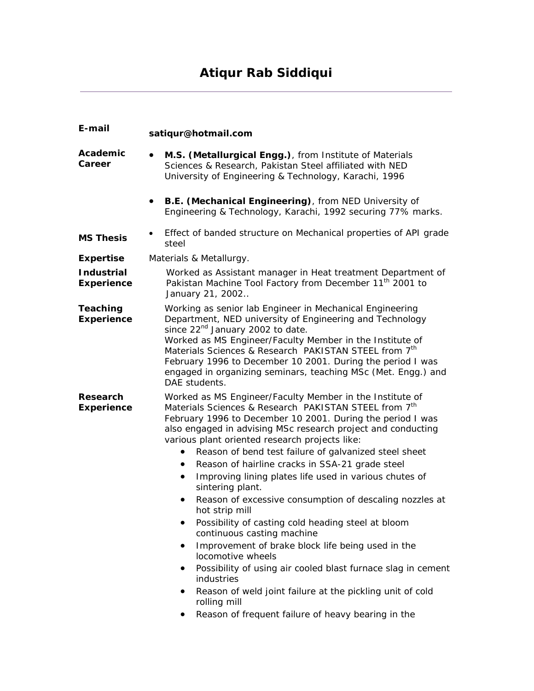# **Atiqur Rab Siddiqui**

| E-mail                                 | satiqur@hotmail.com                                                                                                                                                                                                                                                                                                                                                                                                                                                                                                                                                                                                                                                                                                                                                                                                                                                                                                                                                                                                    |
|----------------------------------------|------------------------------------------------------------------------------------------------------------------------------------------------------------------------------------------------------------------------------------------------------------------------------------------------------------------------------------------------------------------------------------------------------------------------------------------------------------------------------------------------------------------------------------------------------------------------------------------------------------------------------------------------------------------------------------------------------------------------------------------------------------------------------------------------------------------------------------------------------------------------------------------------------------------------------------------------------------------------------------------------------------------------|
| Academic<br>Career                     | M.S. (Metallurgical Engg.), from Institute of Materials<br>$\bullet$<br>Sciences & Research, Pakistan Steel affiliated with NED<br>University of Engineering & Technology, Karachi, 1996                                                                                                                                                                                                                                                                                                                                                                                                                                                                                                                                                                                                                                                                                                                                                                                                                               |
|                                        | B.E. (Mechanical Engineering), from NED University of<br>Engineering & Technology, Karachi, 1992 securing 77% marks.                                                                                                                                                                                                                                                                                                                                                                                                                                                                                                                                                                                                                                                                                                                                                                                                                                                                                                   |
| <b>MS Thesis</b>                       | Effect of banded structure on Mechanical properties of API grade<br>steel                                                                                                                                                                                                                                                                                                                                                                                                                                                                                                                                                                                                                                                                                                                                                                                                                                                                                                                                              |
| <b>Expertise</b>                       | Materials & Metallurgy.                                                                                                                                                                                                                                                                                                                                                                                                                                                                                                                                                                                                                                                                                                                                                                                                                                                                                                                                                                                                |
| <b>Industrial</b><br><b>Experience</b> | Worked as Assistant manager in Heat treatment Department of<br>Pakistan Machine Tool Factory from December 11 <sup>th</sup> 2001 to<br>January 21, 2002                                                                                                                                                                                                                                                                                                                                                                                                                                                                                                                                                                                                                                                                                                                                                                                                                                                                |
| <b>Teaching</b><br><b>Experience</b>   | Working as senior lab Engineer in Mechanical Engineering<br>Department, NED university of Engineering and Technology<br>since 22 <sup>nd</sup> January 2002 to date.<br>Worked as MS Engineer/Faculty Member in the Institute of<br>Materials Sciences & Research PAKISTAN STEEL from 7th<br>February 1996 to December 10 2001. During the period I was<br>engaged in organizing seminars, teaching MSc (Met. Engg.) and<br>DAE students.                                                                                                                                                                                                                                                                                                                                                                                                                                                                                                                                                                              |
| Research<br><b>Experience</b>          | Worked as MS Engineer/Faculty Member in the Institute of<br>Materials Sciences & Research PAKISTAN STEEL from 7 <sup>th</sup><br>February 1996 to December 10 2001. During the period I was<br>also engaged in advising MSc research project and conducting<br>various plant oriented research projects like:<br>Reason of bend test failure of galvanized steel sheet<br>٠<br>Reason of hairline cracks in SSA-21 grade steel<br>Improving lining plates life used in various chutes of<br>$\bullet$<br>sintering plant.<br>Reason of excessive consumption of descaling nozzles at<br>٠<br>hot strip mill<br>Possibility of casting cold heading steel at bloom<br>$\bullet$<br>continuous casting machine<br>Improvement of brake block life being used in the<br>٠<br>locomotive wheels<br>Possibility of using air cooled blast furnace slag in cement<br>industries<br>Reason of weld joint failure at the pickling unit of cold<br>٠<br>rolling mill<br>Reason of frequent failure of heavy bearing in the<br>٠ |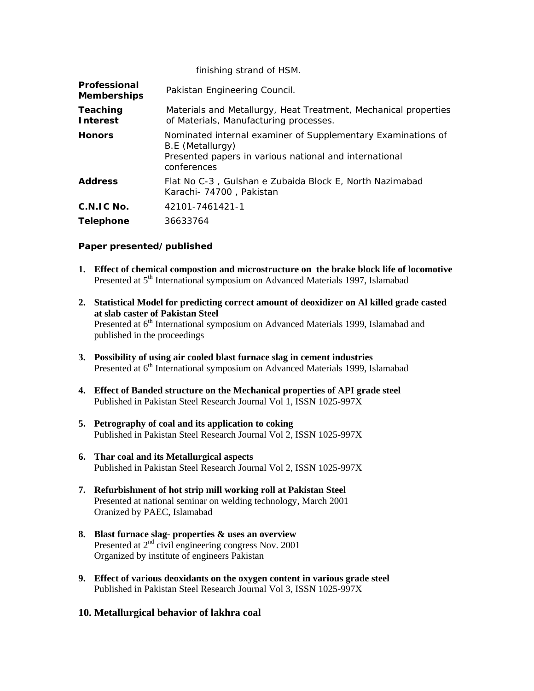|                                    | finishing strand of HSM.                                                                                                                                  |
|------------------------------------|-----------------------------------------------------------------------------------------------------------------------------------------------------------|
| Professional<br><b>Memberships</b> | Pakistan Engineering Council.                                                                                                                             |
| Teaching<br><b>Interest</b>        | Materials and Metallurgy, Heat Treatment, Mechanical properties<br>of Materials, Manufacturing processes.                                                 |
| <b>Honors</b>                      | Nominated internal examiner of Supplementary Examinations of<br>B.E (Metallurgy)<br>Presented papers in various national and international<br>conferences |
| <b>Address</b>                     | Flat No C-3, Gulshan e Zubaida Block E, North Nazimabad<br>Karachi - 74700, Pakistan                                                                      |
| $C.N.I.C.$ No.                     | 42101-7461421-1                                                                                                                                           |
| <b>Telephone</b>                   | 36633764                                                                                                                                                  |

### **Paper presented/published**

- **1. Effect of chemical compostion and microstructure on the brake block life of locomotive**  Presented at 5<sup>th</sup> International symposium on Advanced Materials 1997, Islamabad
- **2. Statistical Model for predicting correct amount of deoxidizer on Al killed grade casted at slab caster of Pakistan Steel**  Presented at 6<sup>th</sup> International symposium on Advanced Materials 1999, Islamabad and published in the proceedings
- **3. Possibility of using air cooled blast furnace slag in cement industries**  Presented at 6<sup>th</sup> International symposium on Advanced Materials 1999, Islamabad
- **4. Effect of Banded structure on the Mechanical properties of API grade steel**  Published in Pakistan Steel Research Journal Vol 1, ISSN 1025-997X
- **5. Petrography of coal and its application to coking**  Published in Pakistan Steel Research Journal Vol 2, ISSN 1025-997X
- **6. Thar coal and its Metallurgical aspects**  Published in Pakistan Steel Research Journal Vol 2, ISSN 1025-997X
- **7. Refurbishment of hot strip mill working roll at Pakistan Steel**  Presented at national seminar on welding technology, March 2001 Oranized by PAEC, Islamabad
- **8. Blast furnace slag- properties & uses an overview**  Presented at  $2<sup>nd</sup>$  civil engineering congress Nov. 2001 Organized by institute of engineers Pakistan
- **9. Effect of various deoxidants on the oxygen content in various grade steel**  Published in Pakistan Steel Research Journal Vol 3, ISSN 1025-997X

## **10. Metallurgical behavior of lakhra coal**